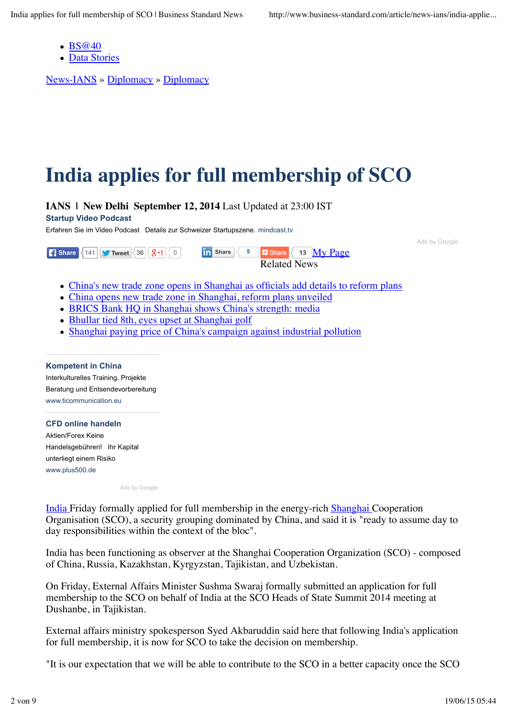- BS@40
- Data Stories

News-IANS » Diplomacy » Diplomacy

## **India applies for full membership of SCO**

**IANS | New Delhi September 12, 2014** Last Updated at 23:00 IST

**Startup Video Podcast**

Erfahren Sie im Video Podcast Details zur Schweizer Startupszene. mindcast.tv

Ads by Google

**Share**  $\begin{array}{|c|c|c|c|c|c|}\n\hline\n\text{There is a 141} & \text{``Two text of 36} & \text{``17} & \text{``18} \\
\hline\n\end{array}$ 13 My Page Related News

- China's new trade zone opens in Shanghai as officials add details to reform plans
- China opens new trade zone in Shanghai, reform plans unveiled
- BRICS Bank HQ in Shanghai shows China's strength: media
- Bhullar tied 8th, eyes upset at Shanghai golf
- Shanghai paying price of China's campaign against industrial pollution

**Kompetent in China** Interkulturelles Training, Projekte Beratung und Entsendevorbereitung www.ticommunication.eu

**CFD online handeln** Aktien/Forex Keine Handelsgebühren! Ihr Kapital unterliegt einem Risiko www.plus500.de

Ads by Google

India Friday formally applied for full membership in the energy-rich Shanghai Cooperation Organisation (SCO), a security grouping dominated by China, and said it is "ready to assume day to day responsibilities within the context of the bloc".

India has been functioning as observer at the Shanghai Cooperation Organization (SCO) - composed of China, Russia, Kazakhstan, Kyrgyzstan, Tajikistan, and Uzbekistan.

On Friday, External Affairs Minister Sushma Swaraj formally submitted an application for full membership to the SCO on behalf of India at the SCO Heads of State Summit 2014 meeting at Dushanbe, in Tajikistan.

External affairs ministry spokesperson Syed Akbaruddin said here that following India's application for full membership, it is now for SCO to take the decision on membership.

"It is our expectation that we will be able to contribute to the SCO in a better capacity once the SCO